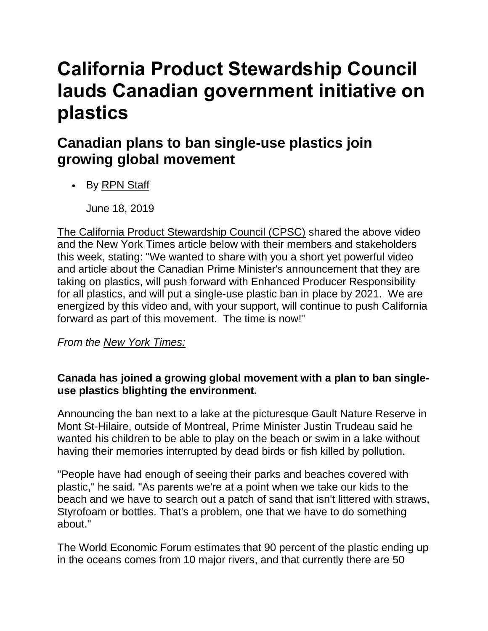## **California Product Stewardship Council lauds Canadian government initiative on plastics**

## **Canadian plans to ban single-use plastics join growing global movement**

• By [RPN Staff](mailto:kbarker@baumpub.com)

June 18, 2019

[The California Product Stewardship Council \(CPSC\)](https://www.recyclingproductnews.com/company/6648/california-product-stewardship-council-cpsc) shared the above video and the New York Times article below with their members and stakeholders this week, stating: "We wanted to share with you a short yet powerful video and article about the Canadian Prime Minister's announcement that they are taking on plastics, will push forward with Enhanced Producer Responsibility for all plastics, and will put a single-use plastic ban in place by 2021. We are energized by this video and, with your support, will continue to push California forward as part of this movement. The time is now!"

*From the [New York Times:](https://www.nytimes.com/2019/06/10/world/canada/single-use-plastic-ban.html)*

## **Canada has joined a growing global movement with a plan to ban singleuse plastics blighting the environment.**

Announcing the ban next to a lake at the picturesque Gault Nature Reserve in Mont St-Hilaire, outside of Montreal, Prime Minister Justin Trudeau said he wanted his children to be able to play on the beach or swim in a lake without having their memories interrupted by dead birds or fish killed by pollution.

"People have had enough of seeing their parks and beaches covered with plastic," he said. "As parents we're at a point when we take our kids to the beach and we have to search out a patch of sand that isn't littered with straws, Styrofoam or bottles. That's a problem, one that we have to do something about."

The World Economic Forum estimates that 90 percent of the plastic ending up in the oceans comes from 10 major rivers, and that currently there are 50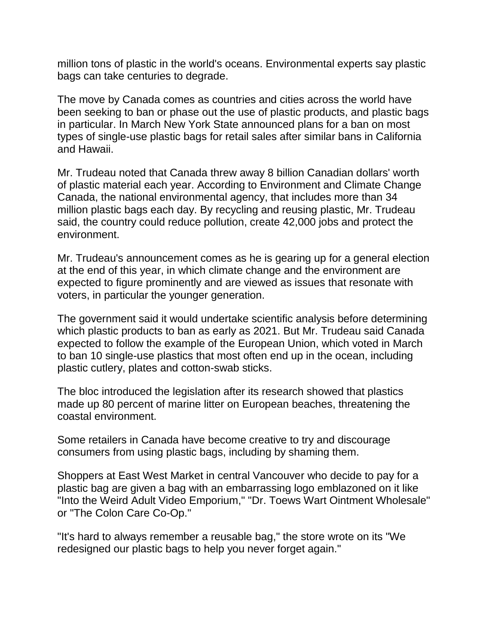million tons of plastic in the world's oceans. Environmental experts say plastic bags can take centuries to degrade.

The move by Canada comes as countries and cities across the world have been seeking to ban or phase out the use of plastic products, and plastic bags in particular. In March New York State announced plans for a ban on most types of single-use plastic bags for retail sales after similar bans in California and Hawaii.

Mr. Trudeau noted that Canada threw away 8 billion Canadian dollars' worth of plastic material each year. According to Environment and Climate Change Canada, the national environmental agency, that includes more than 34 million plastic bags each day. By recycling and reusing plastic, Mr. Trudeau said, the country could reduce pollution, create 42,000 jobs and protect the environment.

Mr. Trudeau's announcement comes as he is gearing up for a general election at the end of this year, in which climate change and the environment are expected to figure prominently and are viewed as issues that resonate with voters, in particular the younger generation.

The government said it would undertake scientific analysis before determining which plastic products to ban as early as 2021. But Mr. Trudeau said Canada expected to follow the example of the European Union, which voted in March to ban 10 single-use plastics that most often end up in the ocean, including plastic cutlery, plates and cotton-swab sticks.

The bloc introduced the legislation after its research showed that plastics made up 80 percent of marine litter on European beaches, threatening the coastal environment.

Some retailers in Canada have become creative to try and discourage consumers from using plastic bags, including by shaming them.

Shoppers at East West Market in central Vancouver who decide to pay for a plastic bag are given a bag with an embarrassing logo emblazoned on it like "Into the Weird Adult Video Emporium," "Dr. Toews Wart Ointment Wholesale" or "The Colon Care Co-Op."

"It's hard to always remember a reusable bag," the store wrote on its "We redesigned our plastic bags to help you never forget again."